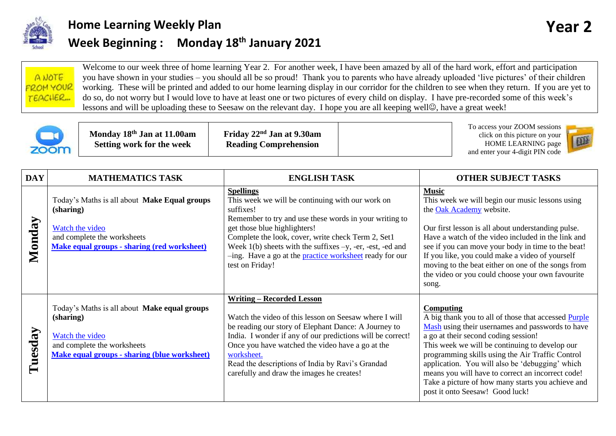

## **Home Learning Weekly Plan Vertical Contract Contract Contract Contract Contract Contract Contract Contract Contract Contract Contract Contract Contract Contract Contract Contract Contract Contract Contract Contract Cont Week Beginning : Monday 18th January 2021**





**Monday 18th Jan at 11.00am Setting work for the week**

**Friday 22nd Jan at 9.30am Reading Comprehension**

To access your ZOOM sessions click on this picture on your HOME LEARNING page and enter your 4-digit PIN code



| <b>DAY</b> | <b>MATHEMATICS TASK</b>                                                                                                                                           | <b>ENGLISH TASK</b>                                                                                                                                                                                                                                                                                                                                                                      | <b>OTHER SUBJECT TASKS</b>                                                                                                                                                                                                                                                                                                                                                                                                                                          |
|------------|-------------------------------------------------------------------------------------------------------------------------------------------------------------------|------------------------------------------------------------------------------------------------------------------------------------------------------------------------------------------------------------------------------------------------------------------------------------------------------------------------------------------------------------------------------------------|---------------------------------------------------------------------------------------------------------------------------------------------------------------------------------------------------------------------------------------------------------------------------------------------------------------------------------------------------------------------------------------------------------------------------------------------------------------------|
| Monday     | Today's Maths is all about Make Equal groups<br>(sharing)<br>Watch the video<br>and complete the worksheets<br><b>Make equal groups - sharing (red worksheet)</b> | <b>Spellings</b><br>This week we will be continuing with our work on<br>suffixes!<br>Remember to try and use these words in your writing to<br>get those blue highlighters!<br>Complete the look, cover, write check Term 2, Set1<br>Week $1(b)$ sheets with the suffixes $-y$ , -er, -est, -ed and<br>-ing. Have a go at the <b>practice</b> worksheet ready for our<br>test on Friday! | <b>Music</b><br>This week we will begin our music lessons using<br>the Oak Academy website.<br>Our first lesson is all about understanding pulse.<br>Have a watch of the video included in the link and<br>see if you can move your body in time to the beat!<br>If you like, you could make a video of yourself<br>moving to the beat either on one of the songs from<br>the video or you could choose your own favourite<br>song.                                 |
| Tuesday    | Today's Maths is all about Make equal groups<br>(sharing)<br>Watch the video<br>and complete the worksheets<br>Make equal groups - sharing (blue worksheet)       | <b>Writing – Recorded Lesson</b><br>Watch the video of this lesson on Seesaw where I will<br>be reading our story of Elephant Dance: A Journey to<br>India. I wonder if any of our predictions will be correct!<br>Once you have watched the video have a go at the<br>worksheet.<br>Read the descriptions of India by Ravi's Grandad<br>carefully and draw the images he creates!       | Computing<br>A big thank you to all of those that accessed Purple<br>Mash using their usernames and passwords to have<br>a go at their second coding session!<br>This week we will be continuing to develop our<br>programming skills using the Air Traffic Control<br>application. You will also be 'debugging' which<br>means you will have to correct an incorrect code!<br>Take a picture of how many starts you achieve and<br>post it onto Seesaw! Good luck! |